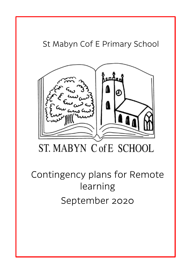# St Mabyn Cof E Primary School



# ST. MABYN C of E SCHOOL

# Contingency plans for Remote learning September 2020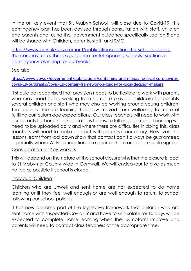In the unlikely event that St. Mabyn School will close due to Covid-19, this contingency plan has been devised through consultation with staff, children and parents and using the government guidance specifically section 5 and will be shared with Children, parents, staff and SMC.

[https://www.gov.uk/government/publications/actions-for-schools-during](https://www.gov.uk/government/publications/actions-for-schools-during-the-coronavirus-outbreak/guidance-for-full-opening-schools#section-5-contingency-planning-for-outbreaks)[the-coronavirus-outbreak/guidance-for-full-opening-schools#section-5](https://www.gov.uk/government/publications/actions-for-schools-during-the-coronavirus-outbreak/guidance-for-full-opening-schools#section-5-contingency-planning-for-outbreaks) [contingency-planning-for-outbreaks](https://www.gov.uk/government/publications/actions-for-schools-during-the-coronavirus-outbreak/guidance-for-full-opening-schools#section-5-contingency-planning-for-outbreaks)

#### See also

[https://www.gov.uk/government/publications/containing-and-managing-local-coronavirus](https://www.gov.uk/government/publications/containing-and-managing-local-coronavirus-covid-19-outbreaks/covid-19-contain-framework-a-guide-for-local-decision-makers)[covid-19-outbreaks/covid-19-contain-framework-a-guide-for-local-decision-makers](https://www.gov.uk/government/publications/containing-and-managing-local-coronavirus-covid-19-outbreaks/covid-19-contain-framework-a-guide-for-local-decision-makers)

It should be recognised that provision needs to be flexible to work with parents who may need to be working from home to provide childcare for possibly several children and staff who may also be working around young children. The focus of remote learning has now moved from wellbeing to more of fulfilling curriculum age expectations. Our class teachers will need to work with our parents to share the expectations to ensure full engagement. Learning will need to be uploaded daily and where there are difficulties in doing this, class teachers will need to make contact with parents if necessary. However, the lessons learnt from lockdown show that contact can't always be guaranteed especially where Wi-Fi connections are poor or there are poor mobile signals. Consideration for Key workers

This will depend on the nature of the school closure whether the closure is local to St Mabyn or County wide in Cornwall. We will endeavour to give as much notice as possible if school is closed.

#### Individual Children

Children who are unwell and sent home are not expected to do home learning until they feel well enough or are well enough to return to school following our school policies.

It has now become part of the legislative framework that children who are sent home with suspected Covid-19 and have to self-isolate for 10 days will be expected to complete home learning when their symptoms improve and parents will need to contact class teachers at the appropriate time.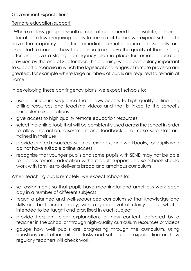#### Government Expectations

#### Remote education support

"Where a class, group or small number of pupils need to self-isolate, or there is a local lockdown requiring pupils to remain at home, we expect schools to have the capacity to offer immediate remote education. Schools are expected to consider how to continue to improve the quality of their existing offer and have a strong contingency plan in place for remote education provision by the end of September. This planning will be particularly important to support a scenario in which the logistical challenges of remote provision are greatest, for example where large numbers of pupils are required to remain at home."

In developing these contingency plans, we expect schools to:

- use a curriculum sequence that allows access to high-quality online and offline resources and teaching videos and that is linked to the school's curriculum expectations
- give access to high quality remote education resources
- select the online tools that will be consistently used across the school in order to allow interaction, assessment and feedback and make sure staff are trained in their use
- provide printed resources, such as textbooks and workbooks, for pupils who do not have suitable online access
- recognise that younger pupils and some pupils with SEND may not be able to access remote education without adult support and so schools should work with families to deliver a broad and ambitious curriculum

When teaching pupils remotely, we expect schools to:

- set assignments so that pupils have meaningful and ambitious work each day in a number of different subjects
- teach a planned and well-sequenced curriculum so that knowledge and skills are built incrementally, with a good level of clarity about what is intended to be taught and practised in each subject
- provide frequent, clear explanations of new content, delivered by a teacher in the school or through high-quality curriculum resources or videos
- gauge how well pupils are progressing through the curriculum, using questions and other suitable tasks and set a clear expectation on how regularly teachers will check work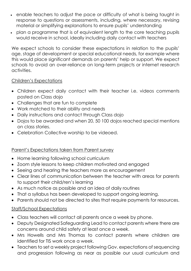- enable teachers to adjust the pace or difficulty of what is being taught in response to questions or assessments, including, where necessary, revising material or simplifying explanations to ensure pupils' understanding
- plan a programme that is of equivalent length to the core teaching pupils would receive in school, ideally including daily contact with teachers

We expect schools to consider these expectations in relation to the pupils' age, stage of development or special educational needs, for example where this would place significant demands on parents' help or support. We expect schools to avoid an over-reliance on long-term projects or internet research activities.

#### Children's Expectations

- Children expect daily contact with their teacher i.e. videos comments posted on Class dojo
- Challenges that are fun to complete
- Work matched to their ability and needs
- Daily instructions and contact through Class dojo
- Dojos to be awarded and when 20, 50 100 dojos reached special mentions on class stories.
- Celebration Collective worship to be videoed.

#### Parent's Expectations taken from Parent survey

- Home learning following school curriculum
- Zoom style lessons to keep children motivated and engaged
- Seeing and hearing the teachers more as encouragement
- Clear lines of communication between the teacher with areas for parents to support their child/ren's learning
- As much notice as possible and an idea of daily routines
- That a syllabus has been developed to support ongoing learning.
- Parents should not be directed to sites that require payments for resources.

#### Staff/School Expectations

- Class teachers will contact all parents once a week by phone.
- Deputy Designated Safeguarding Lead to contact parents where there are concerns around child safety at least once a week.
- Mrs Howells and Mrs Thomas to contact parents where children are identified for TIS work once a week.
- Teachers to set a weekly project following Gov. expectations of sequencing and progression following as near as possible our usual curriculum and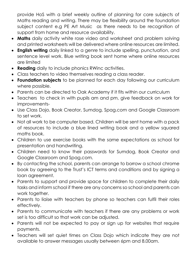provide HoS with a brief weekly outline of planning for core subjects of Maths reading and writing. There may be flexibility around the foundation subject content e.g PE Art Music as there needs to be recognition of support from home and resource availability.

- **Maths** daily activity white rose video and worksheet and problem solving and printed worksheets will be delivered where online resources are limited.
- **English writing** daily linked to a genre to include spelling, punctuation, and sentence level work. Blue writing book sent home where online resources are limited
- **Reading** daily to include phonics RWinc activities.
- Class teachers to video themselves reading a class reader.
- **Foundation subjects** to be planned for each day following our curriculum where possible.
- Parents can be directed to Oak Academy if it fits within our curriculum
- Teachers to check in with pupils am and pm, give feedback on work for improvements-
- Use Class Dojo, Book Creator, Sumdog, Spag.com and Google Classroom to set work.
- Not all work to be computer based. Children will be sent home with a pack of resources to include a blue lined writing book and a yellow squared maths book.
- Children to use exercise books with the same expectations as school for presentation and handwriting.
- Children need to know their passwords for Sumdog, Book Creator and Google Classroom and Spag.com.
- By contacting the school, parents can arrange to borrow a school chrome book by agreeing to the Trust's ICT terms and conditions and by signing a loan agreement.
- Parents to support and provide space for children to complete their daily tasks and inform school if there are any concerns so school and parents can work together.
- Parents to liaise with teachers by phone so teachers can fulfil their roles effectively.
- Parents to communicate with teachers if there are any problems or work set is too difficult so that work can be adjusted.
- Parents will not be expected to pay or sign up for websites that require payments.
- Teachers will set quiet times on Class Dojo which indicate they are not available to answer messages usually between 6pm and 8.00am.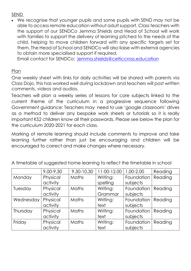#### SEND

 We recognise that younger pupils and some pupils with SEND may not be able to access remote education without adult support. Class teachers with the support of our SENDCo Jemma Shields and Head of School will work with families to support the delivery of learning pitched to the needs of the child, helping to move children forward with any specific targets set for them. The Head of School and SENDCo will also liaise with external agencies to obtain more specialised support if required.

Email contact for SENDCo: [jemma.shields@celticcross.education](mailto:jemma.shields@celticcross.education)

#### Plan

One weekly sheet with links for daily activities will be shared with parents via Class Dojo, this has worked well during lockdown and teachers will post written comments, videos and audios.

Teachers will plan a weekly series of lessons for core subjects linked to the current theme of the curriculum in a progressive sequence following Government guidance: Teachers may need to use 'google classroom' drives as a method to deliver any bespoke work sheets or tutorials so it is really important KS2 children know all their passwords. Please see below the plan for the curriculum 2020-2021 for each class.

Marking of remote learning should include comments to improve and take learning further rather than just be encouraging and children will be encouraged to correct and make changes where necessary.

|           | 9.00-9.30 | 9.30-10.30 | 11-00-12.00 | 1.00-2.00  | Reading |
|-----------|-----------|------------|-------------|------------|---------|
| Monday    | Physical  | Maths      | Writing:    | Foundation | Reading |
|           | activity  |            | spelling    | subjects   |         |
| Tuesday   | Physical  | Maths      | Writing:    | Foundation | Reading |
|           | activity  |            | Grammar     | subjects   |         |
| Wednesday | Physical  | Maths      | Writing:    | Foundation | Reading |
|           | activity  |            | text        | subjects   |         |
| Thursday  | Physical  | Maths      | Writing:    | Foundation | Reading |
|           | activity  |            | text        | subjects   |         |
| Friday    | Physical  | Maths      | Writing:    | Foundation | Reading |
|           | activity  |            | text        | subjects   |         |

A timetable of suggested home learning to reflect the timetable in school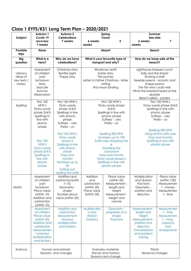### **Class 1 EYFS/KS1 Long Term Plan – 2020/2021**

| Subject                                         | Autumn 1<br>Covid-19                                                                                                                                | Autumn <sub>2</sub><br><b>Celebrations</b>                                                                                                                                        | Spring<br><b>Travel</b>                                                                                                                                                                   |                                                                                                              | <b>Summer</b><br>Sea side                                                                                                                     |                                                                                     |                                                                                                                                                                                                                      |  |
|-------------------------------------------------|-----------------------------------------------------------------------------------------------------------------------------------------------------|-----------------------------------------------------------------------------------------------------------------------------------------------------------------------------------|-------------------------------------------------------------------------------------------------------------------------------------------------------------------------------------------|--------------------------------------------------------------------------------------------------------------|-----------------------------------------------------------------------------------------------------------------------------------------------|-------------------------------------------------------------------------------------|----------------------------------------------------------------------------------------------------------------------------------------------------------------------------------------------------------------------|--|
|                                                 | recovery                                                                                                                                            | 7 weeks                                                                                                                                                                           | 6 weeks                                                                                                                                                                                   | 5                                                                                                            | 6 weeks                                                                                                                                       | 7                                                                                   |                                                                                                                                                                                                                      |  |
|                                                 | 7 weeks                                                                                                                                             |                                                                                                                                                                                   | weeks                                                                                                                                                                                     |                                                                                                              | weeks                                                                                                                                         |                                                                                     |                                                                                                                                                                                                                      |  |
| Possible<br>trips                               | <b>None</b>                                                                                                                                         |                                                                                                                                                                                   |                                                                                                                                                                                           | Airport                                                                                                      | <b>Beach</b>                                                                                                                                  |                                                                                     |                                                                                                                                                                                                                      |  |
| <b>Big</b><br>question                          | What is a<br>hero?                                                                                                                                  | Why do we have<br>celebrations?                                                                                                                                                   |                                                                                                                                                                                           | What is your favourite type of<br>transport and why?                                                         | How do we keep safe at the<br>beach?                                                                                                          |                                                                                     |                                                                                                                                                                                                                      |  |
| Literacy<br>Ideas of<br>key texts /<br>stories. | Assessment<br>of children<br>post<br>lockdown<br>Mary<br>Seacole<br>Autumn<br>Hibernation                                                           | Christmas story<br>Bonfire night<br>Poppy Day                                                                                                                                     | Whatever next?<br>Easter story<br>The journey<br>Letter to Father Christmas - letter<br>writing<br>First moon landing                                                                     |                                                                                                              |                                                                                                                                               |                                                                                     | Lighthouse Keepers Lunch<br>Sally and the limpet<br>Sharing a shell<br>Seaside poems - acrostic and<br>shape poems<br>The fish who could wish<br>What the ladybird heard at the<br>seaside<br>Beach safety - posters |  |
| Spelling                                        | <b>First 100</b><br>HFW's<br>Tricky words<br>phase 3/4/5<br>Spellings in<br>line with<br>phonic<br>phase                                            | First 100 HFW's<br>Tricky words<br>phase 3/4/5<br>Spellings in line<br>with phonic<br>phase<br>Suffixes - s/es<br>$Prefix - Un$                                                   | First 100 HFW's<br>Tricky words phase<br>3/4/5<br>Spellings in line with<br>phonic phase<br>Suffixes - s/es<br>$Prefix - Un$                                                              |                                                                                                              | First 100 HFW's<br>Tricky words phase 3/4/5<br>Spellings in line with<br>phonic phase<br>Suffixes - s/es<br>$Prefix - Un$<br>Spelling 200 HFW |                                                                                     |                                                                                                                                                                                                                      |  |
|                                                 | <b>First 100</b><br>HFW's<br><b>Tricky words</b><br>phase 3/4/5<br>Spellings in<br>line with<br>phonic<br>phase                                     | First 100 HFW's<br><b>Tricky words</b><br>phase 5<br>Spellings in line<br>with phonic<br>phase<br>Days and<br>months<br>Numbers up to<br>50<br>Suffixes just<br>adding the suffix | Spelling 200 HFW<br>Numbers up to 100<br>Suffix rules dropping the<br>e<br>Doubling the<br>consonant<br>Days and months<br>Tricky words phase 5<br>Spellings in line with<br>phonic phase |                                                                                                              | Using all the suffix rules<br>Days and months<br>Spellings in line with<br>phonic phase                                                       |                                                                                     |                                                                                                                                                                                                                      |  |
| Maths                                           | Assessment<br>of children<br>post<br>lockdown<br>Place value<br>(within 10)<br>Addition and<br>subtraction<br>(within 10)                           | Addition and<br>subtraction(withi<br>n 10)<br>Geometry -<br>shape<br>Number place<br>value (within 20)                                                                            | Addition<br>and<br>subtraction<br>(within 20)<br>Place value<br>(within 50)                                                                                                               | Place value<br>(within 50)<br>Measurement -<br>length and<br>height<br>Measurement -<br>weight and<br>volume | Multiplication<br>and division<br>Fractions<br>Geometry -<br>position and<br>direction                                                        | Place value<br>(within $100$ )<br>Measuremen<br>t - money<br>Measuremen<br>t - time |                                                                                                                                                                                                                      |  |
|                                                 | Assessment<br>of children<br>Place value<br>(within 50)<br>Addition and<br>subtraction<br>Measuremen<br>t (money)<br>Multiplication<br>and division | Addition and<br>subtraction<br>Measurement<br>(money)<br>Multiplication<br>and division                                                                                           | Multiplicatio<br>n and<br>division<br><b>Statistics</b>                                                                                                                                   | Geometry -<br>properties of a<br>shape<br><b>Fractions</b>                                                   | Measurement -<br>length and<br>height<br>Measurement -<br>position and<br>direction<br>Consolidation<br>and problem<br>solving                | Measuremen<br>t - time<br>Measuremen<br>t - mass,<br>capacity<br>and<br>temperature |                                                                                                                                                                                                                      |  |
| Science                                         |                                                                                                                                                     | Human and animals<br>Seasons and changes                                                                                                                                          | Everyday materials<br>Plants<br>(forces and motion)<br>Seasonal changes<br>Seasons and change                                                                                             |                                                                                                              |                                                                                                                                               |                                                                                     |                                                                                                                                                                                                                      |  |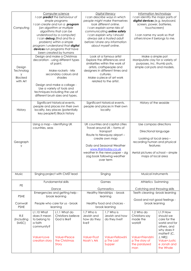| Computing                                              | Computer science<br>I can <b>predict</b> the behaviour of<br>simple programs<br>I can create and run a program<br>(an algorithm or multiple<br>algorithms that can be<br>understood by a computer)<br>I can debug (find and fix a<br>problem) within a simple<br>program I understand that digital<br>devices run programs that have<br>been created by humans |                                                    | Digital literacy<br>I can describe ways in which<br>people might make themselves<br>look different online.<br>I can explain some risks of<br>communicating online safety<br>I can explain why I should<br>always ask a trusted adult<br>before I share any information<br>about myself online. |                                               | Information technology<br>I can identify the major parts of<br>digital devices (e.g. keyboard,<br>screen, power, batteries,<br>touchscreen)<br>I can name my work so that<br>others know it belongs to me. |                                                                                                     |
|--------------------------------------------------------|----------------------------------------------------------------------------------------------------------------------------------------------------------------------------------------------------------------------------------------------------------------------------------------------------------------------------------------------------------------|----------------------------------------------------|------------------------------------------------------------------------------------------------------------------------------------------------------------------------------------------------------------------------------------------------------------------------------------------------|-----------------------------------------------|------------------------------------------------------------------------------------------------------------------------------------------------------------------------------------------------------------|-----------------------------------------------------------------------------------------------------|
| Design<br>Technolog<br>У<br><b>Blocked</b><br>with Art | Design and make a Christmas<br>decoration - using different types<br>of paint.<br>Make rockets - Mix<br>secondary colours and<br>shades<br>Design and make a collage -<br>Use a variety of tools and<br>techniques including the use of<br>different brush sizes and types.                                                                                    |                                                    | Look at a famous artist<br>Explore the differences and<br>similarities within the work of<br>artists, craftspeople and<br>designers in different times and<br>cultures.<br>Make a piece of art work<br>related to the artist.                                                                  |                                               | Make a simple pot<br>Manipulate clay for a variety of<br>purposes, inc. thumb pots,<br>simple coil pots and models.                                                                                        |                                                                                                     |
| History                                                | Significant historical events,<br>people and places inn their own<br>locality, key places (potentially<br>key people?) Black history                                                                                                                                                                                                                           |                                                    | Significant historical events,<br>people and places in their own<br>locality                                                                                                                                                                                                                   |                                               | History of the seaside                                                                                                                                                                                     |                                                                                                     |
| Geograph<br>у                                          | Using a map - identifying UK<br>countries, seas                                                                                                                                                                                                                                                                                                                |                                                    | UK countries and capital cities<br>Travel around UK - forms of<br>transport<br>Route to Newquay airport -<br>create own map<br>Daily and Seasonal Weather<br>www.Raintoday.co.uk<br>weather in the news paper - zig<br>zag book following weather<br>over term                                 |                                               | Use compass directions<br>Directional language<br>Looking at local area -<br>recording human and physical<br>features<br>Aerial pictures of school - simple<br>maps of local area                          |                                                                                                     |
| Music                                                  |                                                                                                                                                                                                                                                                                                                                                                | Singing project with CMST lead                     |                                                                                                                                                                                                                                                                                                | Singing                                       | Musical instruments                                                                                                                                                                                        |                                                                                                     |
| PE                                                     |                                                                                                                                                                                                                                                                                                                                                                | Fundamental skills                                 |                                                                                                                                                                                                                                                                                                | Games                                         | Athletics Swimming                                                                                                                                                                                         |                                                                                                     |
|                                                        |                                                                                                                                                                                                                                                                                                                                                                | Dance<br>Emergencies and getting help -            |                                                                                                                                                                                                                                                                                                | Gymnastics<br>Healthy friendships - brook     | Catching and throwing skills<br>Teeth cleaning -brook learning                                                                                                                                             |                                                                                                     |
| <b>PSHE</b>                                            | brook learning                                                                                                                                                                                                                                                                                                                                                 |                                                    | learning                                                                                                                                                                                                                                                                                       |                                               | Good and not good feelings -                                                                                                                                                                               |                                                                                                     |
| Cornwall<br><b>PSHE</b>                                | People who care for us - brook<br>learning                                                                                                                                                                                                                                                                                                                     |                                                    | Healthy food and choices -<br>brook learning                                                                                                                                                                                                                                                   |                                               | brook learning                                                                                                                                                                                             |                                                                                                     |
| R.E<br>(Including<br>SMSC)                             | <b>L1.10 What</b><br>does it mean<br>to belong to<br>a faith<br>community?                                                                                                                                                                                                                                                                                     | L1.1 What do<br>Christians believe<br>God is like? | 1.7 Who is<br>Jewish and<br>how do they<br>live?                                                                                                                                                                                                                                               | 1.7 Who is<br>Jewish and how<br>do they live? | 1.2 Who do<br>Christians say<br>made the<br>world?                                                                                                                                                         | L1.9 How<br>should we<br>care for the<br>world and for<br>others, and<br>why does it<br>matter? (C, |
|                                                        | Value=Love<br>creation story                                                                                                                                                                                                                                                                                                                                   | Value=Peace<br>the Christmas<br>Story              | Value=Trust<br>Noah's Ark                                                                                                                                                                                                                                                                      | Value=Fellowshi<br>p The Last<br>Supper       | Value=Friendshi<br>p The story of<br>the paralysed<br>man                                                                                                                                                  | J, NR)<br>Value=Justic<br>e Jonah and<br>the Whale                                                  |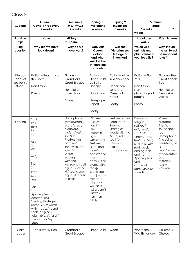## Class 2

| Subject                                         | Autumn 1<br>Covid-19 recovery<br>7 weeks                                                                                                                                                                                                                                                                                                                            | Autumn 2<br><b>WW1/WW2</b><br>7 weeks                                                                                                                                                                                                                                        | Spring 1<br><b>Victorians</b><br>6 weeks                                                                                                                                                                                                                                                                                        | Spring 2<br><b>Inventions</b><br>5 weeks                                                                                                       | Summer<br><b>Brazil</b><br>6 weeks<br>weeks                                                                                                                                                                                                            | 7                                                                                                                                                                                         |
|-------------------------------------------------|---------------------------------------------------------------------------------------------------------------------------------------------------------------------------------------------------------------------------------------------------------------------------------------------------------------------------------------------------------------------|------------------------------------------------------------------------------------------------------------------------------------------------------------------------------------------------------------------------------------------------------------------------------|---------------------------------------------------------------------------------------------------------------------------------------------------------------------------------------------------------------------------------------------------------------------------------------------------------------------------------|------------------------------------------------------------------------------------------------------------------------------------------------|--------------------------------------------------------------------------------------------------------------------------------------------------------------------------------------------------------------------------------------------------------|-------------------------------------------------------------------------------------------------------------------------------------------------------------------------------------------|
| Possible<br>trips                               | <b>None</b>                                                                                                                                                                                                                                                                                                                                                         | <b>Military</b><br>museum?                                                                                                                                                                                                                                                   |                                                                                                                                                                                                                                                                                                                                 |                                                                                                                                                | Local area<br>walks                                                                                                                                                                                                                                    | <b>Eden Biomes</b>                                                                                                                                                                        |
| <b>Big</b><br>question                          | Why did we have<br>lock down?                                                                                                                                                                                                                                                                                                                                       | Why do we<br>have wars?                                                                                                                                                                                                                                                      | Who was<br>Queen<br>Victoria<br>and what<br>was life like<br>in Victorian<br>school?                                                                                                                                                                                                                                            | Was the<br>Victorian era<br>the age of<br>invention?                                                                                           | Which wild<br>animals and<br>plants thrive in<br>your locality?                                                                                                                                                                                        | Why should<br>the rainforest<br>be important<br>to us?                                                                                                                                    |
| Literacy<br>Ideas of<br>key texts /<br>stories. | Fiction - Beauty and<br>the Beast<br>Non-fiction<br>Poetry                                                                                                                                                                                                                                                                                                          | Fiction -<br>Grandpa's<br><b>Great Escape</b><br>Non-fiction-<br>Instructions<br>Poetry                                                                                                                                                                                      | Fiction -<br><b>Street Child</b><br>by Berlie<br>Doherty<br>Non-fiction<br>Newspaper<br>Report<br>Poetry                                                                                                                                                                                                                        | Fiction - Alice<br>in Wonderland<br>Non-fiction-<br>Letters to<br>Queen of<br>Hearts<br>Poetry                                                 | Fiction - Rio<br>(2011)<br>Non-fiction -<br>Non<br>chronological<br>reports<br>Poetry                                                                                                                                                                  | Fiction - The<br>Great Kapok<br><b>Tree</b><br>Non-fiction-<br>Persuasive<br>Writing                                                                                                      |
| Spelling                                        | Suffi<br>xes<br>revis<br>ion<br>$('-s',$<br>$\ddot{\ }$<br>es',<br>$\mathbf{r}$<br>er',<br>$\mathbf{r}$<br>ed',<br>$\ddot{\ }$<br>ing'<br>Prefi<br>xes<br>'un-<br>'dis-<br>Apostrophes for<br>contractions<br><b>Spelling Strategies</b><br>Rarer GPCs: words<br>with the /eɪ/ sound<br>spelt 'ei' (vein),<br>'eigh' (eight), 'aigh'<br>(straight) or 'ey'<br>(hey) | Homophones<br>(brake/break,<br>grate/great,<br>eight/ate,<br>weight/wait,<br>son/sun)<br>Prefixes 'mis-'<br>and 're-'<br>The $/I/$ sound<br>spelt 'y'<br>Words<br>ending<br>with the<br>/g/ sound spelt<br>'-gue' and the<br>/k/ sound spelt<br>'-que' (French<br>in origin) | Suffixes<br>'-ness'<br>and '-<br>ful'<br>followin<br>Q <sub>q</sub><br>Consonant<br>Prefixes<br>'sub-' and<br>'tele-'<br>Apostrophe<br>s for<br>contraction<br>Words with<br>the $/$<br>sound spelt<br>'ch' (mostly<br>French in<br>origin) as<br>well as 's',<br>'ss(ion/ure')<br>$Suffixes -$<br>ness-less-<br>$f \cup I - I$ | Prefixes 'super-<br>' and 'auto-'<br>Spelling<br>Strategies<br>Words with the<br>/k/ sound<br>spelt 'ch'<br>(Greek in<br>origin)<br>Homophones | Previously<br>taught<br>suffixes ('-<br>ed', '-ing',<br>$-s'$ , $-es'$ ,<br>'-ness', '-ful', '-<br>less' and '-ly')<br>Suffix '-ly' with<br>root words<br>ending in 'le'<br>and 'ic'<br>Apostrophes<br>and<br>Contractions<br>Rare GPCs (/I/<br>sound) | Vowel<br>digraphs<br>The $/\Lambda/$<br>sound spelt<br>'ou'<br>Homophones<br>(including<br>heel/heal/he<br>'II,<br>plain/plane,<br>groan/grown<br>and<br>rain/rein/<br>reign)<br>Revision |
| Class<br>reader                                 | The Butterfly Lion                                                                                                                                                                                                                                                                                                                                                  | Grandpa's<br><b>Great Escape</b>                                                                                                                                                                                                                                             | <b>Street Child</b>                                                                                                                                                                                                                                                                                                             | Woof!                                                                                                                                          | Where the<br>Wild Things are                                                                                                                                                                                                                           | Children's<br>Choice                                                                                                                                                                      |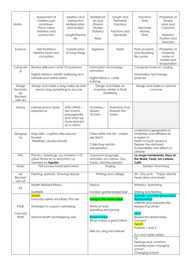| Maths                                                  | Assessment of<br>children post<br>lockdown<br>Place value<br>Addition and<br>subtraction                      | Addtion and<br>Subtraction<br>Multiplication<br>and division<br>Length/Perime<br>ter   | Multiplicati<br>on and<br><b>Division</b><br>Money<br>Statistics<br>Area  | Length and<br>Perimeter<br>Fractions<br>Fractions and<br>Decimals | Fractions<br>Time<br>Decimals<br>Money<br>Time                                                                                                                        | Properties of<br>Shape<br>Mass and<br>Capacity<br>Statistics<br>Position and<br>Direction |  |
|--------------------------------------------------------|---------------------------------------------------------------------------------------------------------------|----------------------------------------------------------------------------------------|---------------------------------------------------------------------------|-------------------------------------------------------------------|-----------------------------------------------------------------------------------------------------------------------------------------------------------------------|-------------------------------------------------------------------------------------------|--|
| Science                                                | Diet Nutrition/<br>Healthy heart and<br>circulation                                                           | Classification<br>of living things                                                     | Digestion                                                                 | Teeth                                                             | Parts of plants<br>and flowering<br>life cycles                                                                                                                       | Properties of<br>materials<br>states of<br>matter and<br>evaporation                      |  |
| Computin<br>g                                          | Review skills post covid-19 lockdown<br>Digital Literacy- health wellbeing and<br>Lifestyle and online safety |                                                                                        | animation<br>bullying                                                     | Information technology-<br>Digital literacy-cyber                 |                                                                                                                                                                       | Computer Science-coding<br>Information technology-<br>podcast                             |  |
| Design<br>Technolo<br>gу<br><b>Blocked</b><br>with Art | Design and make a bag make do and<br>mend using something to recycle                                          |                                                                                        | Design and Make an<br>invention similar to Rudi<br>Goldberg               |                                                                   | Design and Make a carnival<br>costume                                                                                                                                 |                                                                                           |  |
| History                                                | Individual lock down<br>experience                                                                            | $WW1/WW2 -$<br>key events,<br>propaganda<br>and what we<br>have learned<br>as a nation | Victorians-<br>Queen<br>Victoria                                          | Inventions that<br>shaped the<br>world.                           |                                                                                                                                                                       |                                                                                           |  |
| Geograp<br>hy                                          | Map skills - capital cities around<br>Europe.<br>Weather/clouds/climate                                       |                                                                                        | are they?<br>Collecting rainfall -<br>precipitation                       | Cities within the UK - where                                      | understand geographical<br>similarities and differences<br>a region in<br>North or South America<br>Explore the rainforest<br>Sustainability and effect on<br>climate |                                                                                           |  |
| MFL                                                    | Phonics, Greetings, Los números 1-10,<br>¿Qué tienes en tu estuche?, La<br>navidad en España                  |                                                                                        | Classroom language,<br>animales, los colores, Oso<br>Pardo, Old Macdonald |                                                                   | La oruga hambrienta, Days of<br>the Week, Food, Los colores,<br>Café                                                                                                  |                                                                                           |  |
| Music                                                  | First access tuned percussion                                                                                 |                                                                                        |                                                                           | Singing                                                           | Samba-Drumming                                                                                                                                                        |                                                                                           |  |
| Art<br>Blocked<br>with DT                              | Painting portraits Drawing-texture                                                                            |                                                                                        |                                                                           | Printing and collage                                              | 3D Clay pots<br>Paper Mache<br>head dress and Masks                                                                                                                   |                                                                                           |  |
| PE                                                     | <b>Health Related fitness</b>                                                                                 |                                                                                        | Dance                                                                     |                                                                   | Athletics Swimming                                                                                                                                                    |                                                                                           |  |
|                                                        | Multiskills<br><b>Health</b><br>Everyday safety and Basic First aid                                           |                                                                                        | Invasion games basket ball<br>Living in the wider world                   |                                                                   | Striking and fielding<br>Summer term two groups lks2/<br><b>Relationships</b><br>Internet and everyday life                                                           |                                                                                           |  |
| <b>PSHE</b>                                            | Strategies to support well-being                                                                              |                                                                                        | World of work<br>Spending and saving                                      |                                                                   | Respecting others                                                                                                                                                     |                                                                                           |  |
| Cornwall<br><b>PSHE</b>                                | Mental health and keeping well                                                                                |                                                                                        | <b>Relationships</b><br>Skills for using the internet                     | What makes a good friend                                          | UKS2<br>Respectful relationships<br>Consent<br><b>Health</b><br>Puberty 1 and 2<br>Sun and water safety                                                               |                                                                                           |  |
|                                                        |                                                                                                               |                                                                                        |                                                                           |                                                                   | Y6<br>Feelings and common<br>anxieties when changing<br>school<br>Changing School                                                                                     |                                                                                           |  |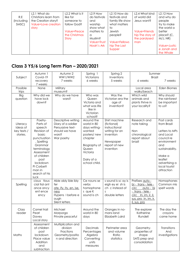| R.E<br>(Including<br>SMSC) | L2.1 What do<br>Christians learn from<br>the Creation story?<br>Value=Love creation<br>story | L2.2 What is it<br>like for<br>someone to<br>follow God?<br>Value=Peace<br>the Christmas<br>Story | $L2.9$ How<br>do festivals<br>and<br>worship<br>show what<br>matters to<br>$\Omega$<br>Muslim?<br>Value=Trust<br>Noah's Ark | $L2.10$ How do<br>festivals and<br>family life show<br>what matters<br>to<br>Jewish<br>people?<br>Value=Fellows<br>hip The Last<br>Supper | L <sub>2</sub> .4 What kind<br>of world did<br>Jesus want?<br>Value=Friends<br>hip The story of<br>the paralysed<br>man | $L2.12$ How<br>and why do<br>people<br>try to make<br>the world a<br>better<br>place? (C,<br>M/J, NR<br>Value=Justic<br>e Jonah and<br>the Whale |
|----------------------------|----------------------------------------------------------------------------------------------|---------------------------------------------------------------------------------------------------|-----------------------------------------------------------------------------------------------------------------------------|-------------------------------------------------------------------------------------------------------------------------------------------|-------------------------------------------------------------------------------------------------------------------------|--------------------------------------------------------------------------------------------------------------------------------------------------|
|----------------------------|----------------------------------------------------------------------------------------------|---------------------------------------------------------------------------------------------------|-----------------------------------------------------------------------------------------------------------------------------|-------------------------------------------------------------------------------------------------------------------------------------------|-------------------------------------------------------------------------------------------------------------------------|--------------------------------------------------------------------------------------------------------------------------------------------------|

### Class 3 Y5/6 Long Term Plan - 2020/2021

|                                                 | Autumn 1                                                                                                                                                                                                                        | Autumn 2                                                                                                     | Spring 1                                                                                                                                           | Spring 2                                                                                                                | Summer                                                                                                                                                               |                                                                                                                                                                                      |
|-------------------------------------------------|---------------------------------------------------------------------------------------------------------------------------------------------------------------------------------------------------------------------------------|--------------------------------------------------------------------------------------------------------------|----------------------------------------------------------------------------------------------------------------------------------------------------|-------------------------------------------------------------------------------------------------------------------------|----------------------------------------------------------------------------------------------------------------------------------------------------------------------|--------------------------------------------------------------------------------------------------------------------------------------------------------------------------------------|
| Subject                                         | Covid-19<br>recovery                                                                                                                                                                                                            | WW1/WW2<br>7 weeks                                                                                           | Victorians<br>6 weeks                                                                                                                              | Inventions<br>5 weeks                                                                                                   | <b>Brazil</b><br>6 weeks                                                                                                                                             | 7 weeks                                                                                                                                                                              |
|                                                 | 7 weeks                                                                                                                                                                                                                         |                                                                                                              |                                                                                                                                                    |                                                                                                                         |                                                                                                                                                                      |                                                                                                                                                                                      |
| Possible                                        | None                                                                                                                                                                                                                            | Military                                                                                                     |                                                                                                                                                    |                                                                                                                         | Local area                                                                                                                                                           | Eden Biomes                                                                                                                                                                          |
| trips                                           |                                                                                                                                                                                                                                 | museum?                                                                                                      |                                                                                                                                                    |                                                                                                                         | walks/beach                                                                                                                                                          |                                                                                                                                                                                      |
| <b>Big</b><br>question                          | Why did we<br>have lock<br>down?                                                                                                                                                                                                | Why do we have<br>wars?                                                                                      | Who was<br>Queen<br>Victoria and<br>what was life<br>like in<br>Victorian                                                                          | Was the<br>Victorian era the<br>age of<br>invention?                                                                    | Which wild<br>animals and<br>plants thrive in<br>your locality?                                                                                                      | Why should<br>the rainforest<br>be important<br>to us?                                                                                                                               |
|                                                 |                                                                                                                                                                                                                                 |                                                                                                              | school?                                                                                                                                            |                                                                                                                         |                                                                                                                                                                      |                                                                                                                                                                                      |
| Literacy<br>Ideas of<br>key texts /<br>stories. | Poetry-<br>Parts of<br>speech<br>Revision of<br>basic<br>punctuation<br>, Spelling<br>Grammar<br>terminology<br>Assessment<br>of children<br>post<br>lockdown<br>Pi Corbett<br>man in<br>search of his<br>$I$ <sub>UC</sub> $k$ | Descriptive writing<br>Diary of a soldier<br>Persuasive text-<br>should we have<br>wars?<br>War poetry       | Around the<br>world in 80<br>days writing-<br>wanted<br>posters/new<br>chapter<br>Biography of<br>Queen<br>Victoria<br>Dairy of a<br>school child. | Shirt machine<br>(fictional)<br>instructional<br>writing for an<br>invention<br>Newspaper<br>report of new<br>invention | Research and<br>note taking<br>Non<br>chronological<br>report about<br>brazil                                                                                        | Post cards<br>from Brazil<br>Letters to MPs<br>and Local<br>council re<br>environment<br>and<br>sustainability.<br>Make a<br>leaflet<br>advertising a<br>local tourist<br>attraction |
| Spelling                                        | cious tious<br>cial tial ant<br>ance ancy<br>ent ence<br>ency                                                                                                                                                                   | Able ably ible ibly<br>fer<br>ate, ify, ity, en, ise,<br>ness<br>Hypens I before e<br>ough<br>Silent letters | Ce nouns se<br>verbs<br>homophone<br>s que K<br>sound is ch                                                                                        | s sound is sc ay is<br>eigh ey ei sh is<br>ch c instead of<br>$\overline{\mathsf{S}}$<br>double letters                 | Prefixes auto -<br><u>bi - trans - tele -</u><br>circ<br><u>auto - bi</u><br>- trans - tele -<br>circ In, im, ir, il,<br>sus, pro In, im, ir,<br><u>il, sus, pro</u> | Homophones<br>Common mis<br>spelt words                                                                                                                                              |
| Class<br>reader                                 | Camel trail<br>Pearl<br>Davey<br>Local story                                                                                                                                                                                    | Michael<br>Morporgo<br>Private peaceful                                                                      | Around the<br>world in 80<br>days                                                                                                                  | Oranges in no-<br>mans land<br>Elizabeth Laird                                                                          | The explorer<br>Katherine<br>Rundell                                                                                                                                 | The day the<br>crayons<br>came home                                                                                                                                                  |
| Maths                                           | Assessment<br>of children<br>post<br>lockdown<br>Place value<br>Addition<br>and<br>subtraction                                                                                                                                  | Multiplication and<br>division<br>Fractions<br>Geometry/positio<br>n and direction                           | Decimals<br>Percentages<br>Algebra<br>Converting<br>units<br>measures                                                                              | Perimeter area<br>and volume<br>Ratio<br>statistics                                                                     | Geometry-<br>properties of<br>shape<br>SATS prep and<br>consolidation                                                                                                | Transitions<br>And<br>investigations                                                                                                                                                 |